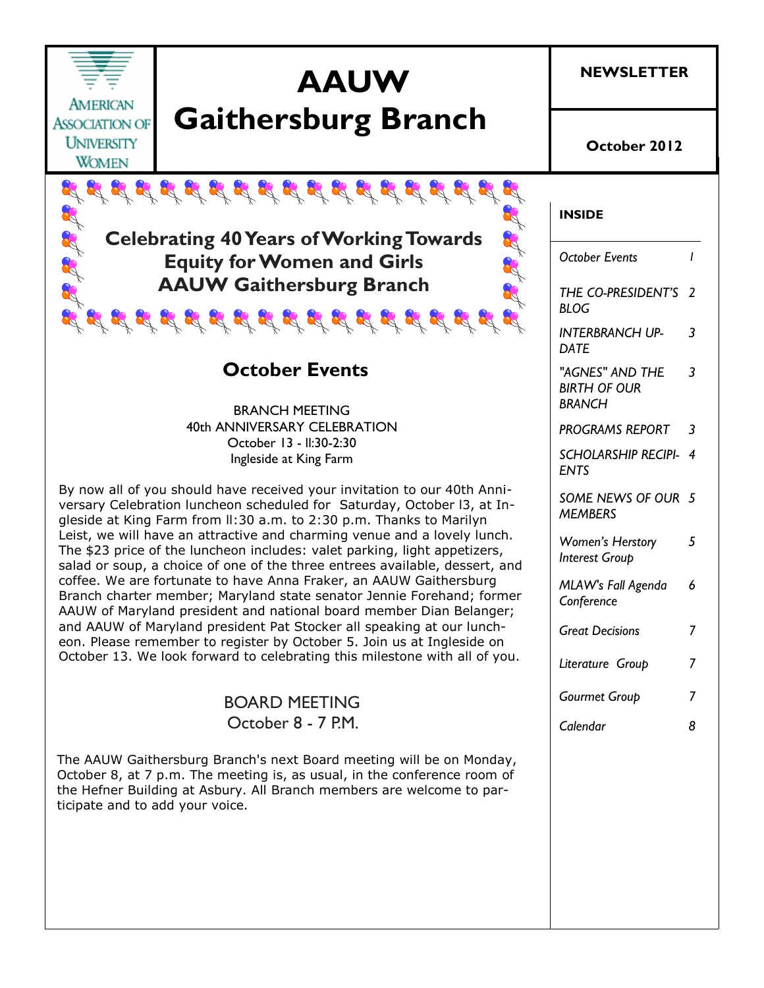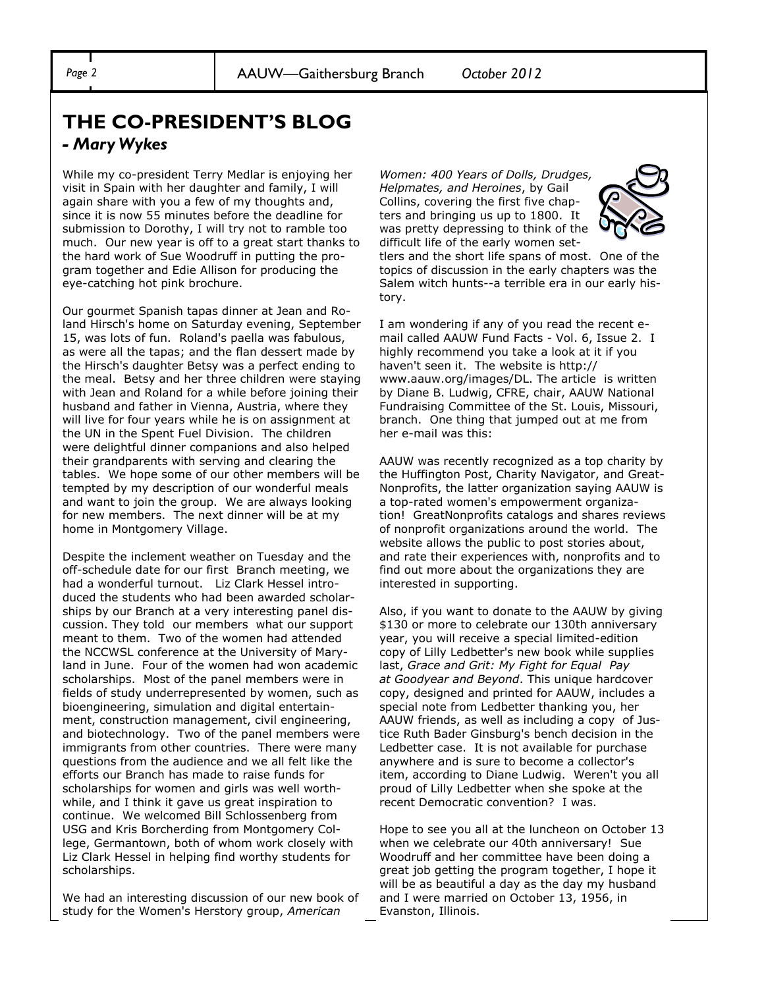## **THE CO-PRESIDENT'S BLOG** *- Mary Wykes*

While my co-president Terry Medlar is enjoying her visit in Spain with her daughter and family, I will again share with you a few of my thoughts and, since it is now 55 minutes before the deadline for submission to Dorothy, I will try not to ramble too much. Our new year is off to a great start thanks to the hard work of Sue Woodruff in putting the program together and Edie Allison for producing the eye-catching hot pink brochure.

Our gourmet Spanish tapas dinner at Jean and Roland Hirsch's home on Saturday evening, September 15, was lots of fun. Roland's paella was fabulous, as were all the tapas; and the flan dessert made by the Hirsch's daughter Betsy was a perfect ending to the meal. Betsy and her three children were staying with Jean and Roland for a while before joining their husband and father in Vienna, Austria, where they will live for four years while he is on assignment at the UN in the Spent Fuel Division. The children were delightful dinner companions and also helped their grandparents with serving and clearing the tables. We hope some of our other members will be tempted by my description of our wonderful meals and want to join the group. We are always looking for new members. The next dinner will be at my home in Montgomery Village.

Despite the inclement weather on Tuesday and the off-schedule date for our first Branch meeting, we had a wonderful turnout. Liz Clark Hessel introduced the students who had been awarded scholarships by our Branch at a very interesting panel discussion. They told our members what our support meant to them. Two of the women had attended the NCCWSL conference at the University of Maryland in June. Four of the women had won academic scholarships. Most of the panel members were in fields of study underrepresented by women, such as bioengineering, simulation and digital entertainment, construction management, civil engineering, and biotechnology. Two of the panel members were immigrants from other countries. There were many questions from the audience and we all felt like the efforts our Branch has made to raise funds for scholarships for women and girls was well worthwhile, and I think it gave us great inspiration to continue. We welcomed Bill Schlossenberg from USG and Kris Borcherding from Montgomery College, Germantown, both of whom work closely with Liz Clark Hessel in helping find worthy students for scholarships.

We had an interesting discussion of our new book of study for the Women's Herstory group, *American*

*Women: 400 Years of Dolls, Drudges, Helpmates, and Heroines*, by Gail Collins, covering the first five chapters and bringing us up to 1800. It was pretty depressing to think of the difficult life of the early women set-



tlers and the short life spans of most. One of the topics of discussion in the early chapters was the Salem witch hunts--a terrible era in our early history.

I am wondering if any of you read the recent email called AAUW Fund Facts - Vol. 6, Issue 2. I highly recommend you take a look at it if you haven't seen it. The website is http:// www.aauw.org/images/DL. The article is written by Diane B. Ludwig, CFRE, chair, AAUW National Fundraising Committee of the St. Louis, Missouri, branch. One thing that jumped out at me from her e-mail was this:

AAUW was recently recognized as a top charity by the Huffington Post, Charity Navigator, and Great-Nonprofits, the latter organization saying AAUW is a top-rated women's empowerment organization! GreatNonprofits catalogs and shares reviews of nonprofit organizations around the world. The website allows the public to post stories about, and rate their experiences with, nonprofits and to find out more about the organizations they are interested in supporting.

Also, if you want to donate to the AAUW by giving \$130 or more to celebrate our 130th anniversary year, you will receive a special limited-edition copy of Lilly Ledbetter's new book while supplies last, *Grace and Grit: My Fight for Equal Pay at Goodyear and Beyond*. This unique hardcover copy, designed and printed for AAUW, includes a special note from Ledbetter thanking you, her AAUW friends, as well as including a copy of Justice Ruth Bader Ginsburg's bench decision in the Ledbetter case. It is not available for purchase anywhere and is sure to become a collector's item, according to Diane Ludwig. Weren't you all proud of Lilly Ledbetter when she spoke at the recent Democratic convention? I was.

Hope to see you all at the luncheon on October 13 when we celebrate our 40th anniversary! Sue Woodruff and her committee have been doing a great job getting the program together, I hope it will be as beautiful a day as the day my husband and I were married on October 13, 1956, in Evanston, Illinois.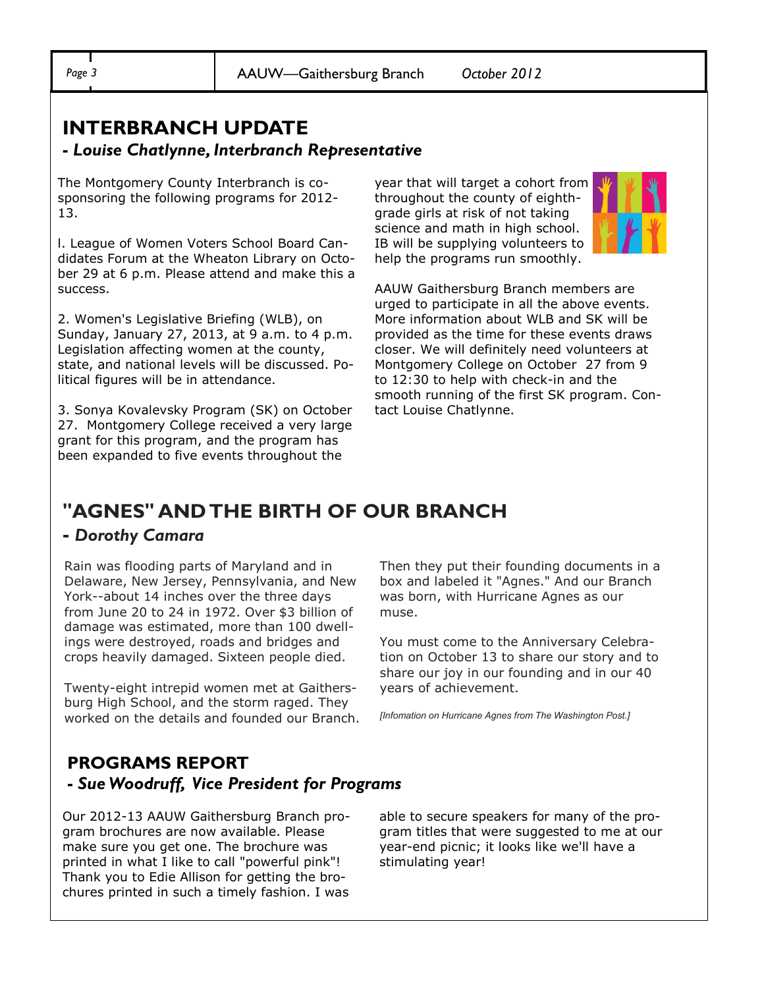## **INTERBRANCH UPDATE**

#### **-** *Louise Chatlynne, Interbranch Representative*

The Montgomery County Interbranch is cosponsoring the following programs for 2012- 13.

l. League of Women Voters School Board Candidates Forum at the Wheaton Library on October 29 at 6 p.m. Please attend and make this a success.

2. Women's Legislative Briefing (WLB), on Sunday, January 27, 2013, at 9 a.m. to 4 p.m. Legislation affecting women at the county, state, and national levels will be discussed. Political figures will be in attendance.

3. Sonya Kovalevsky Program (SK) on October 27. Montgomery College received a very large grant for this program, and the program has been expanded to five events throughout the

year that will target a cohort from throughout the county of eighthgrade girls at risk of not taking science and math in high school. IB will be supplying volunteers to help the programs run smoothly.



AAUW Gaithersburg Branch members are urged to participate in all the above events. More information about WLB and SK will be provided as the time for these events draws closer. We will definitely need volunteers at Montgomery College on October 27 from 9 to 12:30 to help with check-in and the smooth running of the first SK program. Contact Louise Chatlynne.

## **"AGNES" AND THE BIRTH OF OUR BRANCH**

#### **-** *Dorothy Camara*

Rain was flooding parts of Maryland and in Delaware, New Jersey, Pennsylvania, and New York--about 14 inches over the three days from June 20 to 24 in 1972. Over \$3 billion of damage was estimated, more than 100 dwellings were destroyed, roads and bridges and crops heavily damaged. Sixteen people died.

Twenty-eight intrepid women met at Gaithersburg High School, and the storm raged. They worked on the details and founded our Branch. Then they put their founding documents in a box and labeled it "Agnes." And our Branch was born, with Hurricane Agnes as our muse.

You must come to the Anniversary Celebration on October 13 to share our story and to share our joy in our founding and in our 40 years of achievement.

*[Infomation on Hurricane Agnes from The Washington Post.]*

#### **PROGRAMS REPORT -** *Sue Woodruff, Vice President for Programs*

Our 2012-13 AAUW Gaithersburg Branch program brochures are now available. Please make sure you get one. The brochure was printed in what I like to call "powerful pink"! Thank you to Edie Allison for getting the brochures printed in such a timely fashion. I was

able to secure speakers for many of the program titles that were suggested to me at our year-end picnic; it looks like we'll have a stimulating year!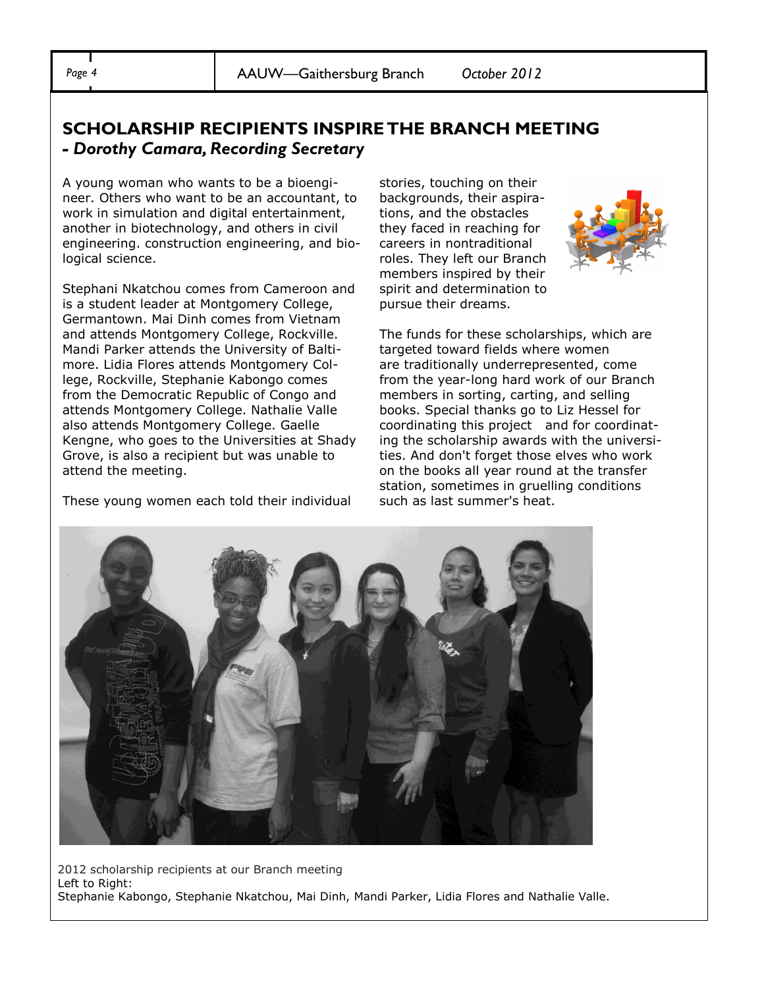### **SCHOLARSHIP RECIPIENTS INSPIRE THE BRANCH MEETING**  *- Dorothy Camara, Recording Secretary*

A young woman who wants to be a bioengineer. Others who want to be an accountant, to work in simulation and digital entertainment, another in biotechnology, and others in civil engineering. construction engineering, and biological science.

Stephani Nkatchou comes from Cameroon and is a student leader at Montgomery College, Germantown. Mai Dinh comes from Vietnam and attends Montgomery College, Rockville. Mandi Parker attends the University of Baltimore. Lidia Flores attends Montgomery College, Rockville, Stephanie Kabongo comes from the Democratic Republic of Congo and attends Montgomery College. Nathalie Valle also attends Montgomery College. Gaelle Kengne, who goes to the Universities at Shady Grove, is also a recipient but was unable to attend the meeting.

These young women each told their individual

stories, touching on their backgrounds, their aspirations, and the obstacles they faced in reaching for careers in nontraditional roles. They left our Branch members inspired by their spirit and determination to pursue their dreams.



The funds for these scholarships, which are targeted toward fields where women are traditionally underrepresented, come from the year-long hard work of our Branch members in sorting, carting, and selling books. Special thanks go to Liz Hessel for coordinating this project and for coordinating the scholarship awards with the universities. And don't forget those elves who work on the books all year round at the transfer station, sometimes in gruelling conditions such as last summer's heat.



2012 scholarship recipients at our Branch meeting Left to Right: Stephanie Kabongo, Stephanie Nkatchou, Mai Dinh, Mandi Parker, Lidia Flores and Nathalie Valle.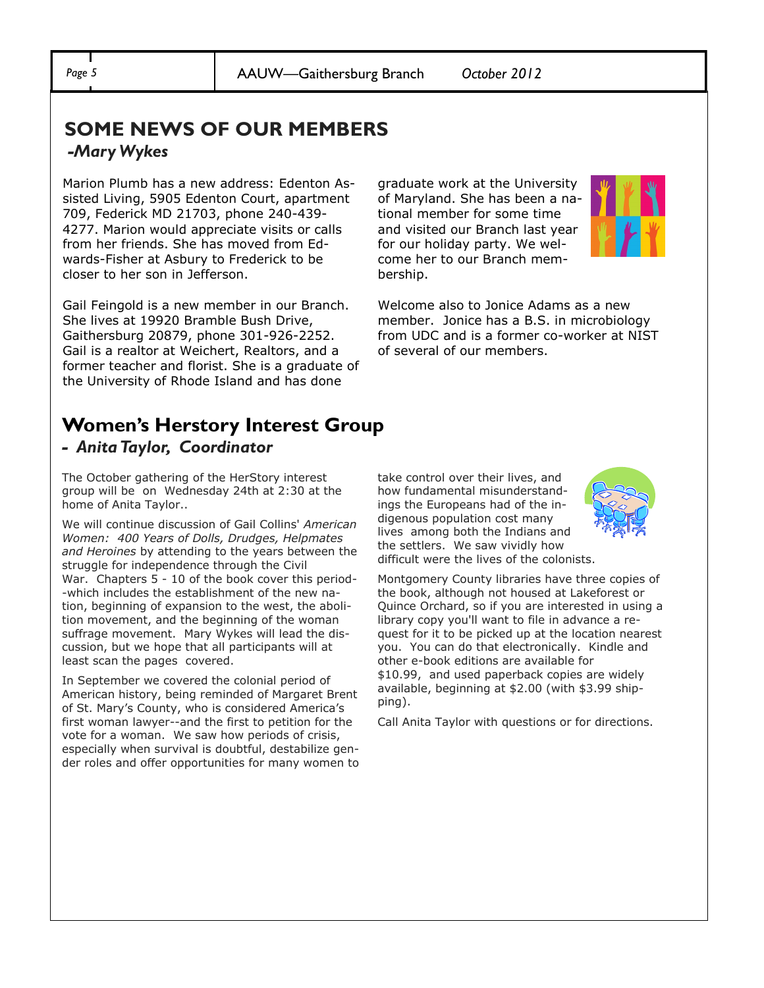## **SOME NEWS OF OUR MEMBERS** *-Mary Wykes*

Marion Plumb has a new address: Edenton Assisted Living, 5905 Edenton Court, apartment 709, Federick MD 21703, phone 240-439- 4277. Marion would appreciate visits or calls from her friends. She has moved from Edwards-Fisher at Asbury to Frederick to be closer to her son in Jefferson.

Gail Feingold is a new member in our Branch. She lives at 19920 Bramble Bush Drive, Gaithersburg 20879, phone 301-926-2252. Gail is a realtor at Weichert, Realtors, and a former teacher and florist. She is a graduate of the University of Rhode Island and has done

graduate work at the University of Maryland. She has been a national member for some time and visited our Branch last year for our holiday party. We welcome her to our Branch membership.



Welcome also to Jonice Adams as a new member. Jonice has a B.S. in microbiology from UDC and is a former co-worker at NIST of several of our members.

#### **Women's Herstory Interest Group** *- Anita Taylor, Coordinator*

The October gathering of the HerStory interest group will be on Wednesday 24th at 2:30 at the home of Anita Taylor..

We will continue discussion of Gail Collins' *American Women: 400 Years of Dolls, Drudges, Helpmates and Heroines* by attending to the years between the struggle for independence through the Civil War. Chapters 5 - 10 of the book cover this period--which includes the establishment of the new nation, beginning of expansion to the west, the abolition movement, and the beginning of the woman suffrage movement. Mary Wykes will lead the discussion, but we hope that all participants will at least scan the pages covered.

In September we covered the colonial period of American history, being reminded of Margaret Brent of St. Mary's County, who is considered America's first woman lawyer--and the first to petition for the vote for a woman. We saw how periods of crisis, especially when survival is doubtful, destabilize gender roles and offer opportunities for many women to take control over their lives, and how fundamental misunderstandings the Europeans had of the indigenous population cost many lives among both the Indians and the settlers. We saw vividly how difficult were the lives of the colonists.



Montgomery County libraries have three copies of the book, although not housed at Lakeforest or Quince Orchard, so if you are interested in using a library copy you'll want to file in advance a request for it to be picked up at the location nearest you. You can do that electronically. Kindle and other e-book editions are available for \$10.99, and used paperback copies are widely available, beginning at \$2.00 (with \$3.99 shipping).

Call Anita Taylor with questions or for directions.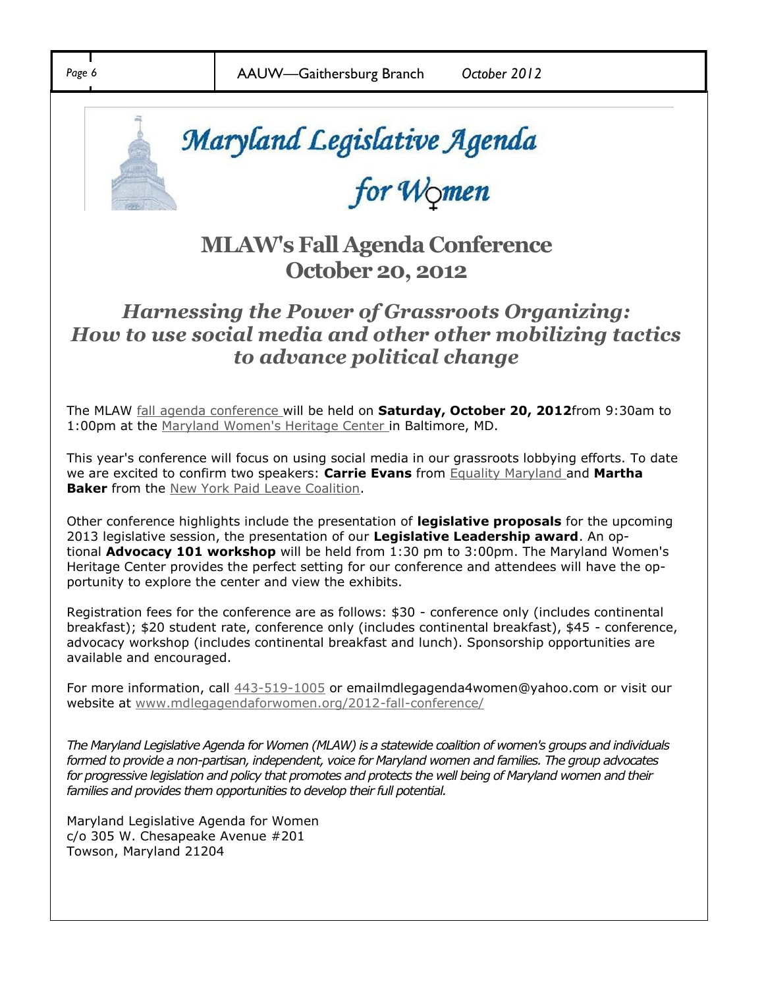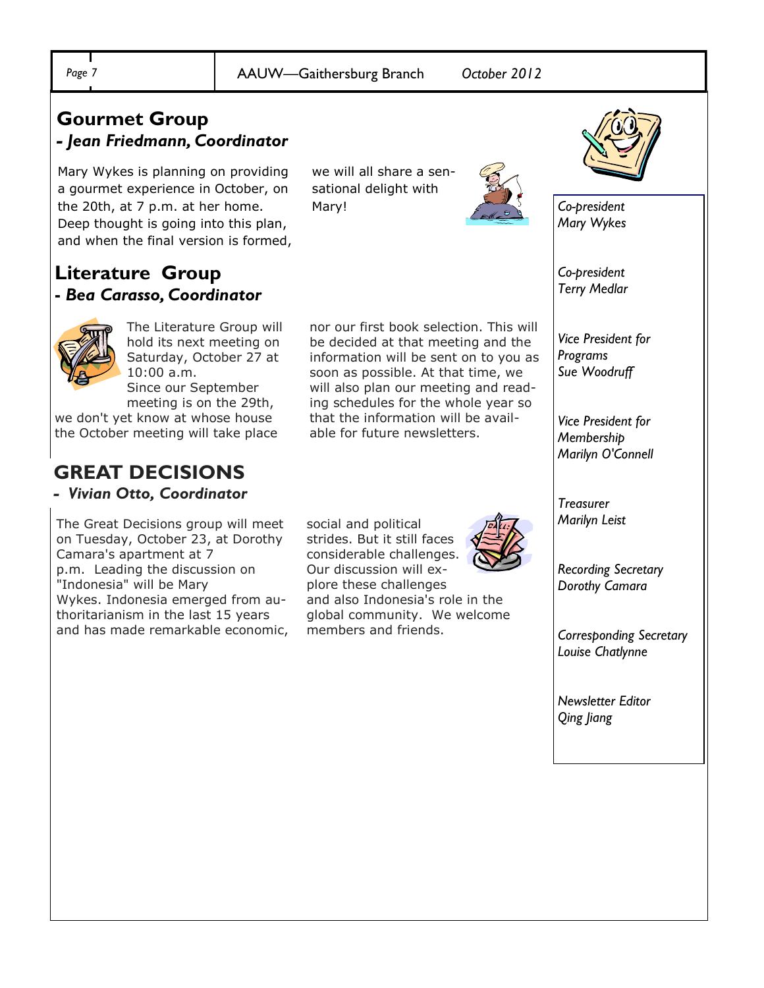Mary!

we will all share a sensational delight with

## **Gourmet Group** *- Jean Friedmann, Coordinator*

Mary Wykes is planning on providing a gourmet experience in October, on the 20th, at 7 p.m. at her home. Deep thought is going into this plan, and when the final version is formed,

### **Literature Group -** *Bea Carasso, Coordinator*



The Literature Group will hold its next meeting on Saturday, October 27 at 10:00 a.m. Since our September

meeting is on the 29th,

we don't yet know at whose house the October meeting will take place

# **GREAT DECISIONS**

*- Vivian Otto, Coordinator* 

The Great Decisions group will meet on Tuesday, October 23, at Dorothy Camara's apartment at 7 p.m. Leading the discussion on "Indonesia" will be Mary Wykes. Indonesia emerged from authoritarianism in the last 15 years and has made remarkable economic,

strides. But it still faces considerable challenges. Our discussion will explore these challenges and also Indonesia's role in the global community. We welcome members and friends.

social and political

able for future newsletters.

nor our first book selection. This will be decided at that meeting and the information will be sent on to you as soon as possible. At that time, we will also plan our meeting and reading schedules for the whole year so that the information will be avail-

*Recording Secretary*

*Dorothy Camara*

*Corresponding Secretary Louise Chatlynne*

*Newsletter Editor Qing Jiang*



*Co-president Mary Wykes*

*Co-president Terry Medlar*

*Vice President for Programs Sue Woodruff*

*Vice President for Membership Marilyn O'Connell*

*Treasurer Marilyn Leist*